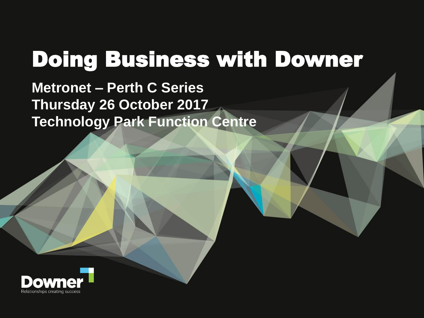# Doing Business with Downer

**Metronet – Perth C Series Thursday 26 October 2017 Technology Park Function Centre**

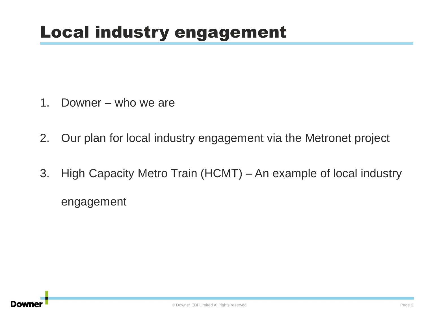## Local industry engagement

- 1. Downer who we are
- 2. Our plan for local industry engagement via the Metronet project
- 3. High Capacity Metro Train (HCMT) An example of local industry engagement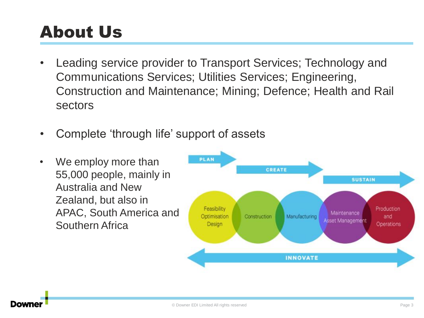## About Us

- Leading service provider to Transport Services; Technology and Communications Services; Utilities Services; Engineering, Construction and Maintenance; Mining; Defence; Health and Rail sectors
- Complete 'through life' support of assets
- We employ more than 55,000 people, mainly in Australia and New Zealand, but also in APAC, South America and Southern Africa

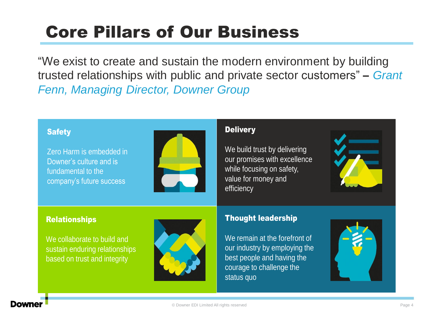## Core Pillars of Our Business

"We exist to create and sustain the modern environment by building trusted relationships with public and private sector customers" – *Grant Fenn, Managing Director, Downer Group*

#### **Safety**

Zero Harm is embedded in Downer's culture and is fundamental to the company's future success



#### **Delivery**

We build trust by delivering our promises with excellence while focusing on safety, value for money and efficiency



#### Relationships

We collaborate to build and sustain enduring relationships based on trust and integrity



#### Thought leadership

We remain at the forefront of our industry by employing the best people and having the courage to challenge the status quo

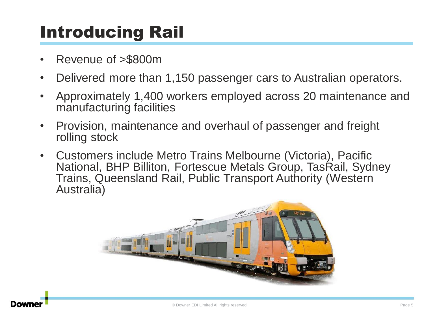## Introducing Rail

- Revenue of >\$800m
- Delivered more than 1,150 passenger cars to Australian operators.
- Approximately 1,400 workers employed across 20 maintenance and manufacturing facilities
- Provision, maintenance and overhaul of passenger and freight rolling stock
- Customers include Metro Trains Melbourne (Victoria), Pacific National, BHP Billiton, Fortescue Metals Group, TasRail, Sydney Trains, Queensland Rail, Public Transport Authority (Western Australia)

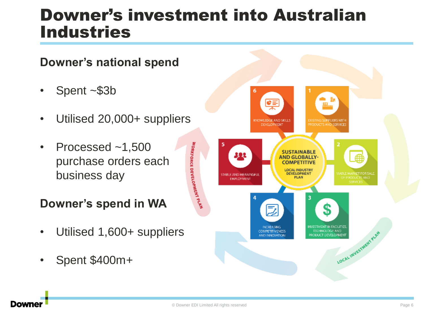### Downer's investment into Australian Industries



#### • Spent ~\$3b

- Utilised 20,000+ suppliers
- Processed ~1,500 purchase orders each business day

#### **Downer's spend in WA**

- Utilised 1,600+ suppliers
- Spent \$400m+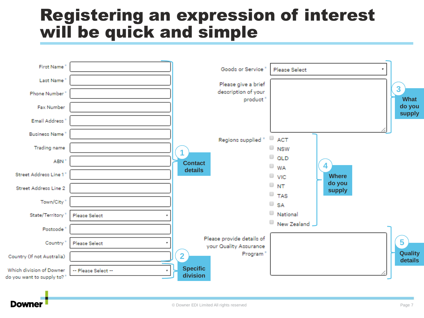#### Registering an expression of interest will be quick and simple



Downe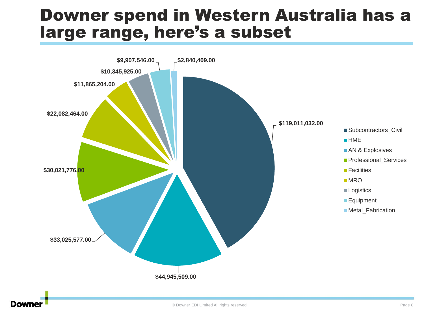#### Downer spend in Western Australia has a large range, here's a subset



#### Downe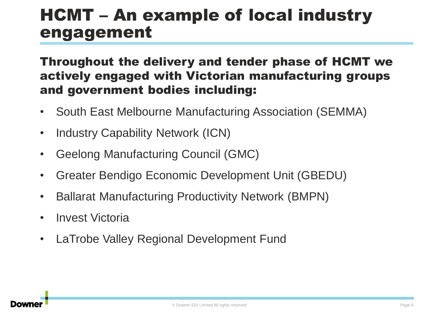#### HCMT – An example of local industry engagement

#### Throughout the delivery and tender phase of HCMT we actively engaged with Victorian manufacturing groups and government bodies including:

- South East Melbourne Manufacturing Association (SEMMA)
- Industry Capability Network (ICN)
- Geelong Manufacturing Council (GMC)
- Greater Bendigo Economic Development Unit (GBEDU)
- Ballarat Manufacturing Productivity Network (BMPN)
- **Invest Victoria**
- LaTrobe Valley Regional Development Fund

![](_page_8_Figure_9.jpeg)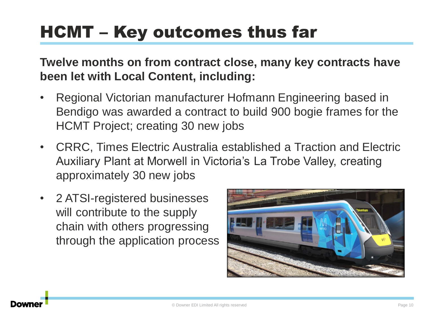## HCMT – Key outcomes thus far

**Twelve months on from contract close, many key contracts have been let with Local Content, including:**

- Regional Victorian manufacturer Hofmann Engineering based in Bendigo was awarded a contract to build 900 bogie frames for the HCMT Project; creating 30 new jobs
- CRRC, Times Electric Australia established a Traction and Electric Auxiliary Plant at Morwell in Victoria's La Trobe Valley, creating approximately 30 new jobs
- 2 ATSI-registered businesses will contribute to the supply chain with others progressing through the application process

![](_page_9_Picture_5.jpeg)